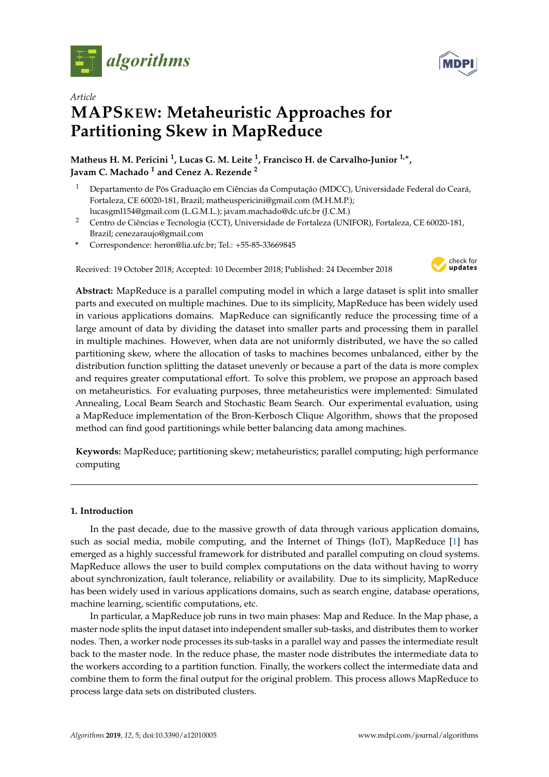



# *Article* **MAPSKEW: Metaheuristic Approaches for Partitioning Skew in MapReduce**

**Matheus H. M. Pericini <sup>1</sup> , Lucas G. M. Leite <sup>1</sup> , Francisco H. de Carvalho-Junior 1,**<sup>∗</sup> **, Javam C. Machado <sup>1</sup> and Cenez A. Rezende <sup>2</sup>**

- <sup>1</sup> Departamento de Pós Graduação em Ciências da Computação (MDCC), Universidade Federal do Ceará, Fortaleza, CE 60020-181, Brazil; matheuspericini@gmail.com (M.H.M.P.); lucasgml154@gmail.com (L.G.M.L.); javam.machado@dc.ufc.br (J.C.M.)
- <sup>2</sup> Centro de Ciências e Tecnologia (CCT), Universidade de Fortaleza (UNIFOR), Fortaleza, CE 60020-181, Brazil; cenezaraujo@gmail.com
- **\*** Correspondence: heron@lia.ufc.br; Tel.: +55-85-33669845

Received: 19 October 2018; Accepted: 10 December 2018; Published: 24 December 2018



**Abstract:** MapReduce is a parallel computing model in which a large dataset is split into smaller parts and executed on multiple machines. Due to its simplicity, MapReduce has been widely used in various applications domains. MapReduce can significantly reduce the processing time of a large amount of data by dividing the dataset into smaller parts and processing them in parallel in multiple machines. However, when data are not uniformly distributed, we have the so called partitioning skew, where the allocation of tasks to machines becomes unbalanced, either by the distribution function splitting the dataset unevenly or because a part of the data is more complex and requires greater computational effort. To solve this problem, we propose an approach based on metaheuristics. For evaluating purposes, three metaheuristics were implemented: Simulated Annealing, Local Beam Search and Stochastic Beam Search. Our experimental evaluation, using a MapReduce implementation of the Bron-Kerbosch Clique Algorithm, shows that the proposed method can find good partitionings while better balancing data among machines.

**Keywords:** MapReduce; partitioning skew; metaheuristics; parallel computing; high performance computing

# **1. Introduction**

In the past decade, due to the massive growth of data through various application domains, such as social media, mobile computing, and the Internet of Things (IoT), MapReduce [\[1\]](#page-12-0) has emerged as a highly successful framework for distributed and parallel computing on cloud systems. MapReduce allows the user to build complex computations on the data without having to worry about synchronization, fault tolerance, reliability or availability. Due to its simplicity, MapReduce has been widely used in various applications domains, such as search engine, database operations, machine learning, scientific computations, etc.

In particular, a MapReduce job runs in two main phases: Map and Reduce. In the Map phase, a master node splits the input dataset into independent smaller sub-tasks, and distributes them to worker nodes. Then, a worker node processes its sub-tasks in a parallel way and passes the intermediate result back to the master node. In the reduce phase, the master node distributes the intermediate data to the workers according to a partition function. Finally, the workers collect the intermediate data and combine them to form the final output for the original problem. This process allows MapReduce to process large data sets on distributed clusters.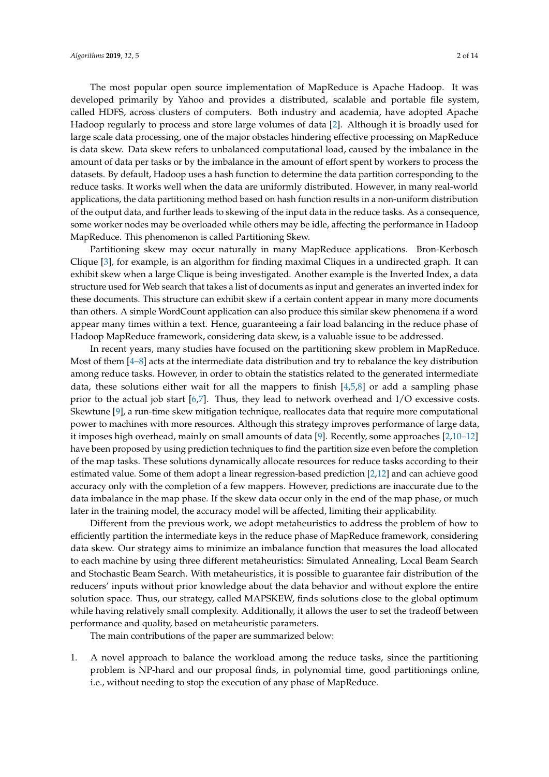The most popular open source implementation of MapReduce is Apache Hadoop. It was developed primarily by Yahoo and provides a distributed, scalable and portable file system, called HDFS, across clusters of computers. Both industry and academia, have adopted Apache Hadoop regularly to process and store large volumes of data [\[2\]](#page-12-1). Although it is broadly used for large scale data processing, one of the major obstacles hindering effective processing on MapReduce is data skew. Data skew refers to unbalanced computational load, caused by the imbalance in the amount of data per tasks or by the imbalance in the amount of effort spent by workers to process the datasets. By default, Hadoop uses a hash function to determine the data partition corresponding to the reduce tasks. It works well when the data are uniformly distributed. However, in many real-world applications, the data partitioning method based on hash function results in a non-uniform distribution of the output data, and further leads to skewing of the input data in the reduce tasks. As a consequence, some worker nodes may be overloaded while others may be idle, affecting the performance in Hadoop MapReduce. This phenomenon is called Partitioning Skew.

Partitioning skew may occur naturally in many MapReduce applications. Bron-Kerbosch Clique [\[3\]](#page-12-2), for example, is an algorithm for finding maximal Cliques in a undirected graph. It can exhibit skew when a large Clique is being investigated. Another example is the Inverted Index, a data structure used for Web search that takes a list of documents as input and generates an inverted index for these documents. This structure can exhibit skew if a certain content appear in many more documents than others. A simple WordCount application can also produce this similar skew phenomena if a word appear many times within a text. Hence, guaranteeing a fair load balancing in the reduce phase of Hadoop MapReduce framework, considering data skew, is a valuable issue to be addressed.

In recent years, many studies have focused on the partitioning skew problem in MapReduce. Most of them [\[4–](#page-12-3)[8\]](#page-13-0) acts at the intermediate data distribution and try to rebalance the key distribution among reduce tasks. However, in order to obtain the statistics related to the generated intermediate data, these solutions either wait for all the mappers to finish  $[4,5,8]$  $[4,5,8]$  $[4,5,8]$  or add a sampling phase prior to the actual job start [\[6,](#page-13-1)[7\]](#page-13-2). Thus, they lead to network overhead and I/O excessive costs. Skewtune [\[9\]](#page-13-3), a run-time skew mitigation technique, reallocates data that require more computational power to machines with more resources. Although this strategy improves performance of large data, it imposes high overhead, mainly on small amounts of data [\[9\]](#page-13-3). Recently, some approaches [\[2](#page-12-1)[,10](#page-13-4)[–12\]](#page-13-5) have been proposed by using prediction techniques to find the partition size even before the completion of the map tasks. These solutions dynamically allocate resources for reduce tasks according to their estimated value. Some of them adopt a linear regression-based prediction [\[2,](#page-12-1)[12\]](#page-13-5) and can achieve good accuracy only with the completion of a few mappers. However, predictions are inaccurate due to the data imbalance in the map phase. If the skew data occur only in the end of the map phase, or much later in the training model, the accuracy model will be affected, limiting their applicability.

Different from the previous work, we adopt metaheuristics to address the problem of how to efficiently partition the intermediate keys in the reduce phase of MapReduce framework, considering data skew. Our strategy aims to minimize an imbalance function that measures the load allocated to each machine by using three different metaheuristics: Simulated Annealing, Local Beam Search and Stochastic Beam Search. With metaheuristics, it is possible to guarantee fair distribution of the reducers' inputs without prior knowledge about the data behavior and without explore the entire solution space. Thus, our strategy, called MAPSKEW, finds solutions close to the global optimum while having relatively small complexity. Additionally, it allows the user to set the tradeoff between performance and quality, based on metaheuristic parameters.

The main contributions of the paper are summarized below:

1. A novel approach to balance the workload among the reduce tasks, since the partitioning problem is NP-hard and our proposal finds, in polynomial time, good partitionings online, i.e., without needing to stop the execution of any phase of MapReduce.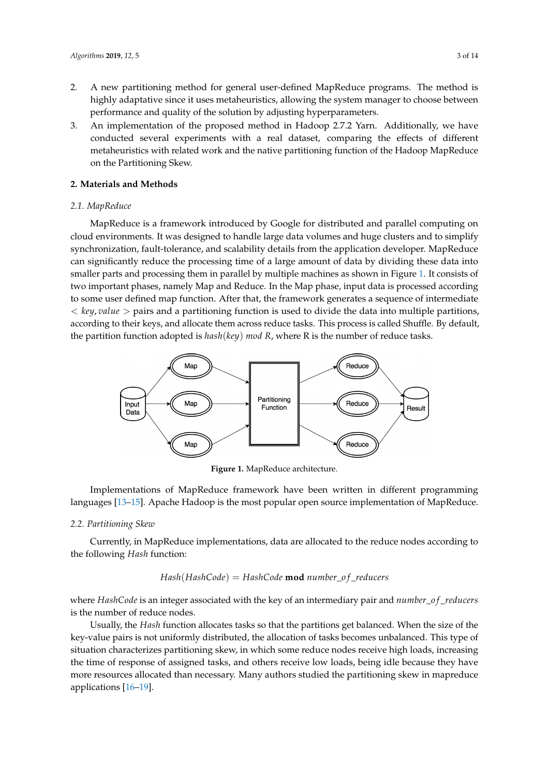- 2. A new partitioning method for general user-defined MapReduce programs. The method is highly adaptative since it uses metaheuristics, allowing the system manager to choose between performance and quality of the solution by adjusting hyperparameters.
- 3. An implementation of the proposed method in Hadoop 2.7.2 Yarn. Additionally, we have conducted several experiments with a real dataset, comparing the effects of different metaheuristics with related work and the native partitioning function of the Hadoop MapReduce on the Partitioning Skew.

## **2. Materials and Methods**

## <span id="page-2-1"></span>*2.1. MapReduce*

MapReduce is a framework introduced by Google for distributed and parallel computing on cloud environments. It was designed to handle large data volumes and huge clusters and to simplify synchronization, fault-tolerance, and scalability details from the application developer. MapReduce can significantly reduce the processing time of a large amount of data by dividing these data into smaller parts and processing them in parallel by multiple machines as shown in Figure [1.](#page-2-0) It consists of two important phases, namely Map and Reduce. In the Map phase, input data is processed according to some user defined map function. After that, the framework generates a sequence of intermediate  $\langle$  *key*, *value*  $>$  pairs and a partitioning function is used to divide the data into multiple partitions, according to their keys, and allocate them across reduce tasks. This process is called Shuffle. By default, the partition function adopted is *hash*(*key*) *mod R*, where R is the number of reduce tasks.

<span id="page-2-0"></span>

**Figure 1.** MapReduce architecture.

Implementations of MapReduce framework have been written in different programming languages [\[13](#page-13-6)[–15\]](#page-13-7). Apache Hadoop is the most popular open source implementation of MapReduce.

#### *2.2. Partitioning Skew*

Currently, in MapReduce implementations, data are allocated to the reduce nodes according to the following *Hash* function:

## *Hash*(*HashCode*) = *HashCode* **mod** *number*\_*o f* \_*reducers*

where *HashCode* is an integer associated with the key of an intermediary pair and *number\_of\_reducers* is the number of reduce nodes.

Usually, the *Hash* function allocates tasks so that the partitions get balanced. When the size of the key-value pairs is not uniformly distributed, the allocation of tasks becomes unbalanced. This type of situation characterizes partitioning skew, in which some reduce nodes receive high loads, increasing the time of response of assigned tasks, and others receive low loads, being idle because they have more resources allocated than necessary. Many authors studied the partitioning skew in mapreduce applications [\[16](#page-13-8)[–19\]](#page-13-9).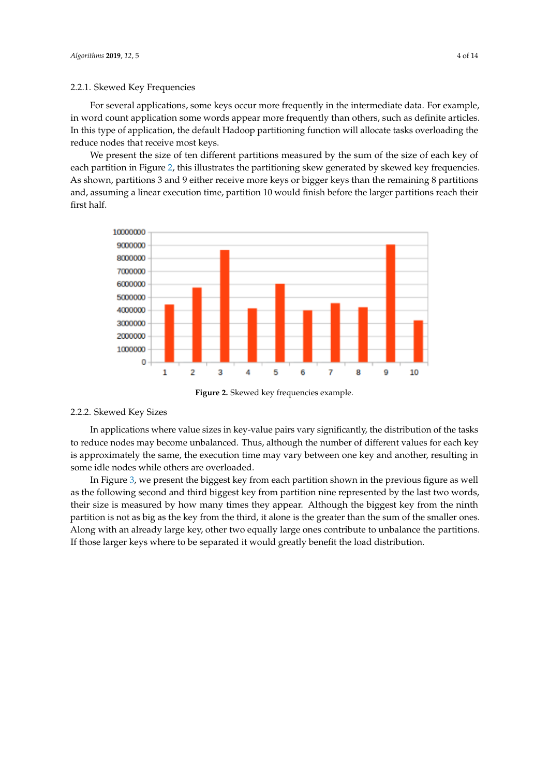## 2.2.1. Skewed Key Frequencies

For several applications, some keys occur more frequently in the intermediate data. For example, in word count application some words appear more frequently than others, such as definite articles. In this type of application, the default Hadoop partitioning function will allocate tasks overloading the reduce nodes that receive most keys.

We present the size of ten different partitions measured by the sum of the size of each key of each partition in Figure [2,](#page-3-0) this illustrates the partitioning skew generated by skewed key frequencies. As shown, partitions 3 and 9 either receive more keys or bigger keys than the remaining 8 partitions and, assuming a linear execution time, partition 10 would finish before the larger partitions reach their first half.

<span id="page-3-0"></span>

Figure 2. Skewed key frequencies example.

## 2.2.2. Skewed Key Sizes

In applications where value sizes in key-value pairs vary significantly, the distribution of the tasks to reduce nodes may become unbalanced. Thus, although the number of different values for each key is approximately the same, the execution time may vary between one key and another, resulting in some idle nodes while others are overloaded.

In Figure [3,](#page-4-0) we present the biggest key from each partition shown in the previous figure as well as the following second and third biggest key from partition nine represented by the last two words, their size is measured by how many times they appear. Although the biggest key from the ninth partition is not as big as the key from the third, it alone is the greater than the sum of the smaller ones. Along with an already large key, other two equally large ones contribute to unbalance the partitions. If those larger keys where to be separated it would greatly benefit the load distribution.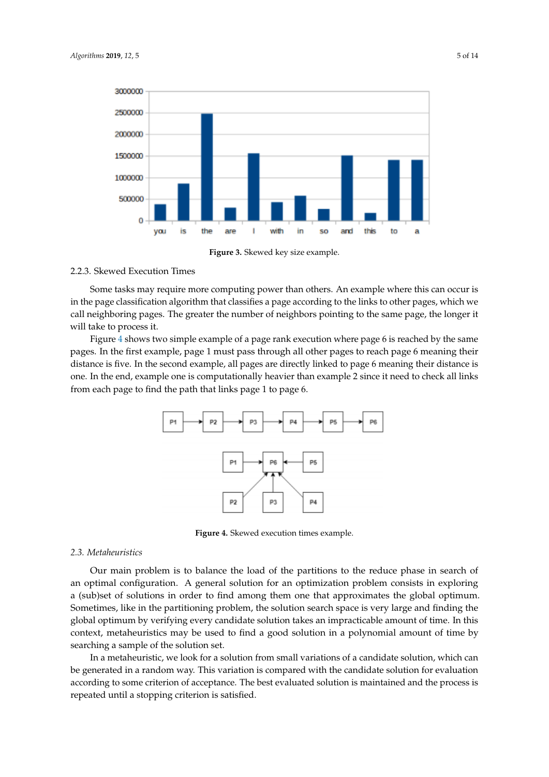<span id="page-4-0"></span>



## 2.2.3. Skewed Execution Times

Some tasks may require more computing power than others. An example where this can occur is in the page classification algorithm that classifies a page according to the links to other pages, which we call neighboring pages. The greater the number of neighbors pointing to the same page, the longer it will take to process it.

<span id="page-4-1"></span>Figure [4](#page-4-1) shows two simple example of a page rank execution where page 6 is reached by the same pages. In the first example, page 1 must pass through all other pages to reach page 6 meaning their distance is five. In the second example, all pages are directly linked to page 6 meaning their distance is one. In the end, example one is computationally heavier than example 2 since it need to check all links from each page to find the path that links page 1 to page 6.



**Figure 4.** Skewed execution times example.

# *2.3. Metaheuristics*

Our main problem is to balance the load of the partitions to the reduce phase in search of an optimal configuration. A general solution for an optimization problem consists in exploring a (sub)set of solutions in order to find among them one that approximates the global optimum. Sometimes, like in the partitioning problem, the solution search space is very large and finding the global optimum by verifying every candidate solution takes an impracticable amount of time. In this context, metaheuristics may be used to find a good solution in a polynomial amount of time by searching a sample of the solution set.

In a metaheuristic, we look for a solution from small variations of a candidate solution, which can be generated in a random way. This variation is compared with the candidate solution for evaluation according to some criterion of acceptance. The best evaluated solution is maintained and the process is repeated until a stopping criterion is satisfied.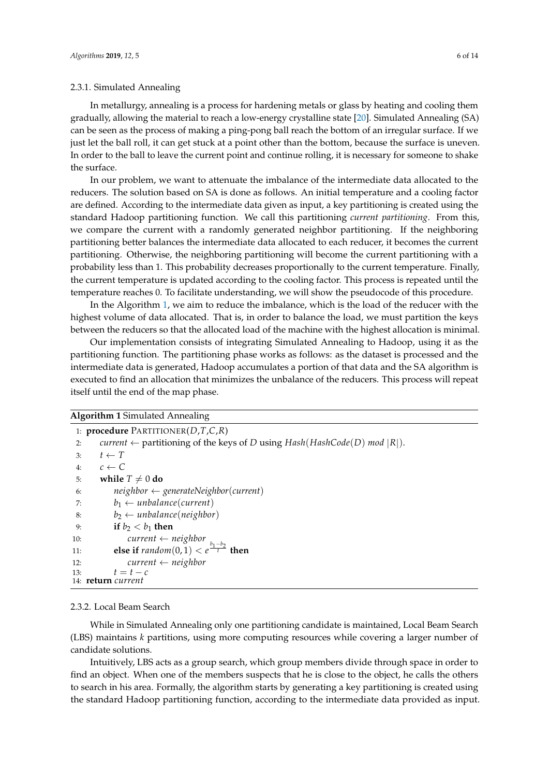## 2.3.1. Simulated Annealing

In metallurgy, annealing is a process for hardening metals or glass by heating and cooling them gradually, allowing the material to reach a low-energy crystalline state [\[20\]](#page-13-10). Simulated Annealing (SA) can be seen as the process of making a ping-pong ball reach the bottom of an irregular surface. If we just let the ball roll, it can get stuck at a point other than the bottom, because the surface is uneven. In order to the ball to leave the current point and continue rolling, it is necessary for someone to shake the surface.

In our problem, we want to attenuate the imbalance of the intermediate data allocated to the reducers. The solution based on SA is done as follows. An initial temperature and a cooling factor are defined. According to the intermediate data given as input, a key partitioning is created using the standard Hadoop partitioning function. We call this partitioning *current partitioning*. From this, we compare the current with a randomly generated neighbor partitioning. If the neighboring partitioning better balances the intermediate data allocated to each reducer, it becomes the current partitioning. Otherwise, the neighboring partitioning will become the current partitioning with a probability less than 1. This probability decreases proportionally to the current temperature. Finally, the current temperature is updated according to the cooling factor. This process is repeated until the temperature reaches 0. To facilitate understanding, we will show the pseudocode of this procedure.

In the Algorithm [1,](#page-5-0) we aim to reduce the imbalance, which is the load of the reducer with the highest volume of data allocated. That is, in order to balance the load, we must partition the keys between the reducers so that the allocated load of the machine with the highest allocation is minimal.

Our implementation consists of integrating Simulated Annealing to Hadoop, using it as the partitioning function. The partitioning phase works as follows: as the dataset is processed and the intermediate data is generated, Hadoop accumulates a portion of that data and the SA algorithm is executed to find an allocation that minimizes the unbalance of the reducers. This process will repeat itself until the end of the map phase.

# <span id="page-5-0"></span>**Algorithm 1** Simulated Annealing

|     | 1: <b>procedure</b> PARTITIONER( $D, T, C, R$ )                                                      |
|-----|------------------------------------------------------------------------------------------------------|
| 2:  | current $\leftarrow$ partitioning of the keys of D using Hash(HashCode(D) mod  R ).                  |
| 3:  | $t \leftarrow T$                                                                                     |
| 4:  | $c \leftarrow C$                                                                                     |
| 5:  | while $T \neq 0$ do                                                                                  |
| 6:  | $neighbor \leftarrow generateNeighbour(current)$                                                     |
| 7:  | $b_1 \leftarrow$ unbalance(current)                                                                  |
| 8:  | $b_2 \leftarrow$ unbalance(neighbor)                                                                 |
| 9:  | if $b_2 < b_1$ then                                                                                  |
| 10: |                                                                                                      |
| 11: | <i>current</i> ← <i>neighbor</i><br><b>else if</b> $random(0,1) < e^{\frac{b_1-b_2}{t}}$ <b>then</b> |
| 12: | $current \leftarrow neighbor$                                                                        |
| 13: | $t=t-c$                                                                                              |
|     | 14: <b>return</b> current                                                                            |

#### 2.3.2. Local Beam Search

While in Simulated Annealing only one partitioning candidate is maintained, Local Beam Search (LBS) maintains *k* partitions, using more computing resources while covering a larger number of candidate solutions.

Intuitively, LBS acts as a group search, which group members divide through space in order to find an object. When one of the members suspects that he is close to the object, he calls the others to search in his area. Formally, the algorithm starts by generating a key partitioning is created using the standard Hadoop partitioning function, according to the intermediate data provided as input.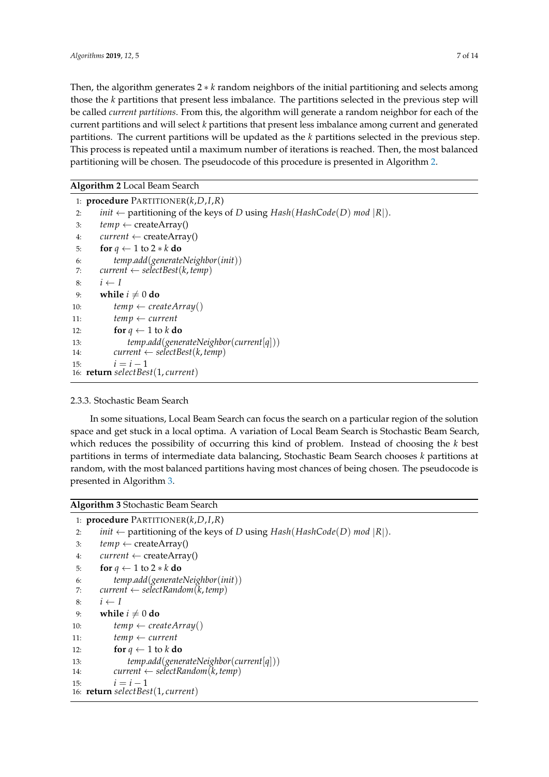Then, the algorithm generates 2 ∗ *k* random neighbors of the initial partitioning and selects among those the *k* partitions that present less imbalance. The partitions selected in the previous step will be called *current partitions*. From this, the algorithm will generate a random neighbor for each of the current partitions and will select *k* partitions that present less imbalance among current and generated partitions. The current partitions will be updated as the *k* partitions selected in the previous step. This process is repeated until a maximum number of iterations is reached. Then, the most balanced partitioning will be chosen. The pseudocode of this procedure is presented in Algorithm [2.](#page-6-0)

# <span id="page-6-0"></span>**Algorithm 2** Local Beam Search

|     | 1: <b>procedure</b> PARTITIONER( $k$ , $D$ , $I$ , $R$ )                         |
|-----|----------------------------------------------------------------------------------|
| 2:  | init $\leftarrow$ partitioning of the keys of D using Hash(HashCode(D) mod  R ). |
| 3:  | $temp \leftarrow createArray()$                                                  |
| 4:  | $current \leftarrow createArray()$                                               |
| 5:  | for $q \leftarrow 1$ to 2 $*$ k do                                               |
| 6:  | temp.add(generateNeighbour(int))                                                 |
| 7:  | $current \leftarrow selectBest(k, temp)$                                         |
| 8:  | $i \leftarrow I$                                                                 |
| 9:  | while $i \neq 0$ do                                                              |
| 10: | $temp \leftarrow createArray()$                                                  |
| 11: | $temp \leftarrow current$                                                        |
| 12: | for $q \leftarrow 1$ to k do                                                     |
| 13: | $temp.add(generateNeighbour(current[q]))$                                        |
| 14: | $current \leftarrow selectBest(k, temp)$                                         |
| 15: | $i = i - 1$                                                                      |
|     | 16: return select Best(1, current)                                               |

# 2.3.3. Stochastic Beam Search

In some situations, Local Beam Search can focus the search on a particular region of the solution space and get stuck in a local optima. A variation of Local Beam Search is Stochastic Beam Search, which reduces the possibility of occurring this kind of problem. Instead of choosing the *k* best partitions in terms of intermediate data balancing, Stochastic Beam Search chooses *k* partitions at random, with the most balanced partitions having most chances of being chosen. The pseudocode is presented in Algorithm [3.](#page-6-1)

```
Algorithm 3 Stochastic Beam Search
```

```
1: procedure PARTITIONER(k,D,I,R)
2: init \leftarrow partitioning of the keys of D using Hash(HashCode(D) \mod |R|).
3: temp \leftarrow \text{createArray}()4: current \leftarrow createArray()5: for q \leftarrow 1 to 2 * k do
 6: temp.add(generateNeighbor(init))
 7: current ← selectRandom(k, temp)
8: i \leftarrow I9: while i \neq 0 do
10: temp \leftarrow createArray()11: temp \leftarrow current12: for q \leftarrow 1 to k do
13: temp.add(generateNeighbor(current[q]))
14: current \leftarrow selectRandom(k, temp)15: i = i - 116: return selectBest(1, current)
```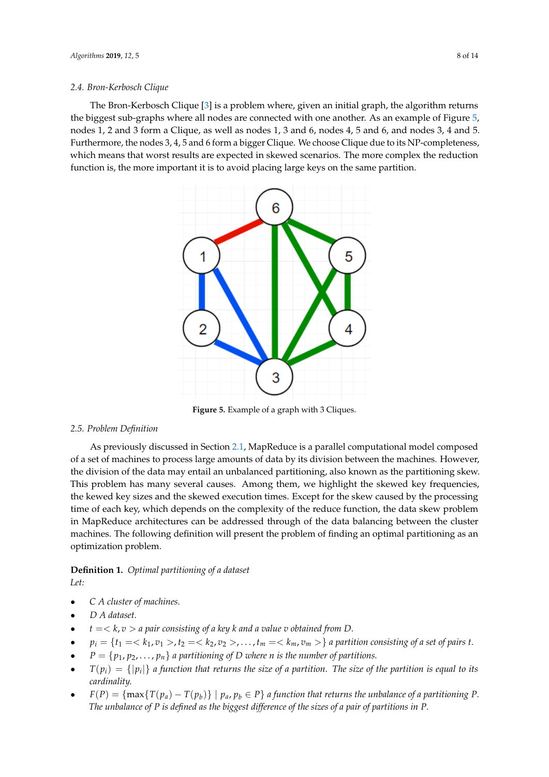## *2.4. Bron-Kerbosch Clique*

<span id="page-7-0"></span>The Bron-Kerbosch Clique [\[3\]](#page-12-2) is a problem where, given an initial graph, the algorithm returns the biggest sub-graphs where all nodes are connected with one another. As an example of Figure [5,](#page-7-0) nodes 1, 2 and 3 form a Clique, as well as nodes 1, 3 and 6, nodes 4, 5 and 6, and nodes 3, 4 and 5. Furthermore, the nodes 3, 4, 5 and 6 form a bigger Clique. We choose Clique due to its NP-completeness, which means that worst results are expected in skewed scenarios. The more complex the reduction function is, the more important it is to avoid placing large keys on the same partition.



Figure 5. Example of a graph with 3 Cliques.

## *2.5. Problem Definition*

As previously discussed in Section [2.1,](#page-2-1) MapReduce is a parallel computational model composed of a set of machines to process large amounts of data by its division between the machines. However, the division of the data may entail an unbalanced partitioning, also known as the partitioning skew. This problem has many several causes. Among them, we highlight the skewed key frequencies, the kewed key sizes and the skewed execution times. Except for the skew caused by the processing time of each key, which depends on the complexity of the reduce function, the data skew problem in MapReduce architectures can be addressed through of the data balancing between the cluster machines. The following definition will present the problem of finding an optimal partitioning as an optimization problem.

# <span id="page-7-1"></span>**Definition 1.** *Optimal partitioning of a dataset Let:*

- *C A cluster of machines.*
- *D A dataset.*
- $t = < k$ ,  $v > a$  pair consisting of a key k and a value v obtained from D.
- $p_i = \{t_1 = k_1, v_1 > t_2 = k_2, v_2 > \ldots$ ,  $t_m = k_m, v_m > \}$  a partition consisting of a set of pairs t.
- $P = \{p_1, p_2, \ldots, p_n\}$  *a partitioning of D where n is the number of partitions.*
- $T(p_i) = \{|p_i|\}$  *a function that returns the size of a partition. The size of the partition is equal to its cardinality.*
- $F(P) = \{ \max\{T(p_a) T(p_b)\} \mid p_a, p_b \in P \}$  *a function that returns the unbalance of a partitioning P. The unbalance of P is defined as the biggest difference of the sizes of a pair of partitions in P.*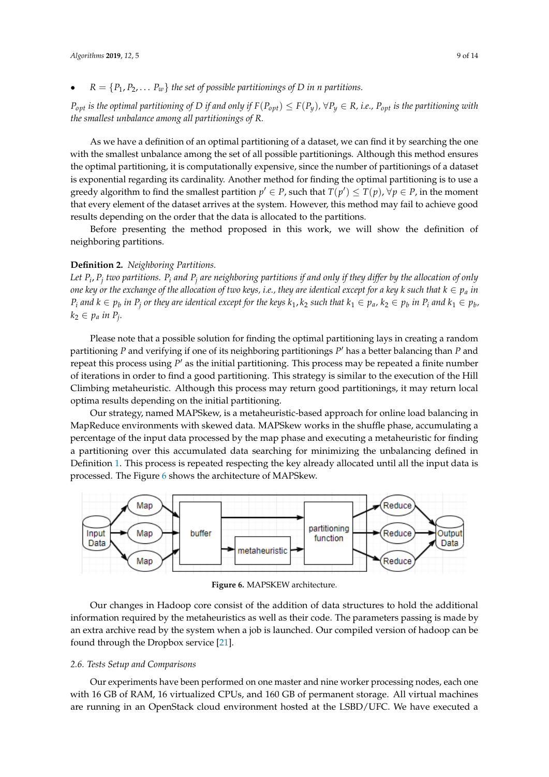$R = \{P_1, P_2, \dots, P_w\}$  the set of possible partitionings of D in n partitions.

 $P_{\text{opt}}$  is the optimal partitioning of D if and only if  $F(P_{\text{opt}}) \leq F(P_u)$ ,  $\forall P_u \in R$ , i.e.,  $P_{\text{opt}}$  is the partitioning with *the smallest unbalance among all partitionings of R.*

As we have a definition of an optimal partitioning of a dataset, we can find it by searching the one with the smallest unbalance among the set of all possible partitionings. Although this method ensures the optimal partitioning, it is computationally expensive, since the number of partitionings of a dataset is exponential regarding its cardinality. Another method for finding the optimal partitioning is to use a greedy algorithm to find the smallest partition  $p' \in P$ , such that  $T(p') \leq T(p)$ ,  $\forall p \in P$ , in the moment that every element of the dataset arrives at the system. However, this method may fail to achieve good results depending on the order that the data is allocated to the partitions.

Before presenting the method proposed in this work, we will show the definition of neighboring partitions.

## **Definition 2.** *Neighboring Partitions.*

*Let P<sup>i</sup>* , *P<sup>j</sup> two partitions. P<sup>i</sup> and P<sup>j</sup> are neighboring partitions if and only if they differ by the allocation of only one key or the exchange of the allocation of two keys, i.e., they are identical except for a key k such that*  $k \in p_a$  *in*  $P_i$  and  $k\in p_b$  in  $P_j$  or they are identical except for the keys  $k_1,k_2$  such that  $k_1\in p_a$ ,  $k_2\in p_b$  in  $P_i$  and  $k_1\in p_b$ ,  $k_2 \in p_a$  *in*  $P_j$ .

Please note that a possible solution for finding the optimal partitioning lays in creating a random partitioning *P* and verifying if one of its neighboring partitionings *P* <sup>0</sup> has a better balancing than *P* and repeat this process using P' as the initial partitioning. This process may be repeated a finite number of iterations in order to find a good partitioning. This strategy is similar to the execution of the Hill Climbing metaheuristic. Although this process may return good partitionings, it may return local optima results depending on the initial partitioning.

Our strategy, named MAPSkew, is a metaheuristic-based approach for online load balancing in MapReduce environments with skewed data. MAPSkew works in the shuffle phase, accumulating a percentage of the input data processed by the map phase and executing a metaheuristic for finding a partitioning over this accumulated data searching for minimizing the unbalancing defined in Definition [1.](#page-7-1) This process is repeated respecting the key already allocated until all the input data is processed. The Figure [6](#page-8-0) shows the architecture of MAPSkew.

<span id="page-8-0"></span>

**Figure 6.** MAPSKEW architecture.

Our changes in Hadoop core consist of the addition of data structures to hold the additional information required by the metaheuristics as well as their code. The parameters passing is made by an extra archive read by the system when a job is launched. Our compiled version of hadoop can be found through the Dropbox service [\[21\]](#page-13-11).

## *2.6. Tests Setup and Comparisons*

Our experiments have been performed on one master and nine worker processing nodes, each one with 16 GB of RAM, 16 virtualized CPUs, and 160 GB of permanent storage. All virtual machines are running in an OpenStack cloud environment hosted at the LSBD/UFC. We have executed a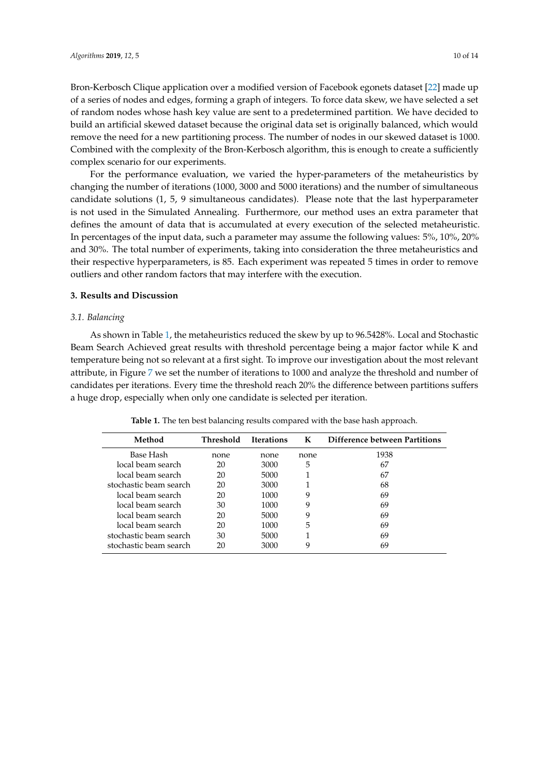Bron-Kerbosch Clique application over a modified version of Facebook egonets dataset [\[22\]](#page-13-12) made up of a series of nodes and edges, forming a graph of integers. To force data skew, we have selected a set of random nodes whose hash key value are sent to a predetermined partition. We have decided to build an artificial skewed dataset because the original data set is originally balanced, which would remove the need for a new partitioning process. The number of nodes in our skewed dataset is 1000. Combined with the complexity of the Bron-Kerbosch algorithm, this is enough to create a sufficiently complex scenario for our experiments.

For the performance evaluation, we varied the hyper-parameters of the metaheuristics by changing the number of iterations (1000, 3000 and 5000 iterations) and the number of simultaneous candidate solutions (1, 5, 9 simultaneous candidates). Please note that the last hyperparameter is not used in the Simulated Annealing. Furthermore, our method uses an extra parameter that defines the amount of data that is accumulated at every execution of the selected metaheuristic. In percentages of the input data, such a parameter may assume the following values: 5%, 10%, 20% and 30%. The total number of experiments, taking into consideration the three metaheuristics and their respective hyperparameters, is 85. Each experiment was repeated 5 times in order to remove outliers and other random factors that may interfere with the execution.

# <span id="page-9-1"></span>**3. Results and Discussion**

## *3.1. Balancing*

As shown in Table [1,](#page-9-0) the metaheuristics reduced the skew by up to 96.5428%. Local and Stochastic Beam Search Achieved great results with threshold percentage being a major factor while K and temperature being not so relevant at a first sight. To improve our investigation about the most relevant attribute, in Figure [7](#page-10-0) we set the number of iterations to 1000 and analyze the threshold and number of candidates per iterations. Every time the threshold reach 20% the difference between partitions suffers a huge drop, especially when only one candidate is selected per iteration.

<span id="page-9-0"></span>

| Method                 | Threshold | <b>Iterations</b> | К    | Difference between Partitions |
|------------------------|-----------|-------------------|------|-------------------------------|
| Base Hash              | none      | none              | none | 1938                          |
| local beam search      | 20        | 3000              | 5    | 67                            |
| local beam search      | 20        | 5000              |      | 67                            |
| stochastic beam search | 20        | 3000              |      | 68                            |
| local beam search      | 20        | 1000              | 9    | 69                            |
| local beam search      | 30        | 1000              | 9    | 69                            |
| local beam search      | 20        | 5000              | 9    | 69                            |
| local beam search      | 20        | 1000              | 5    | 69                            |
| stochastic beam search | 30        | 5000              |      | 69                            |
| stochastic beam search | 20        | 3000              |      | 69                            |

**Table 1.** The ten best balancing results compared with the base hash approach.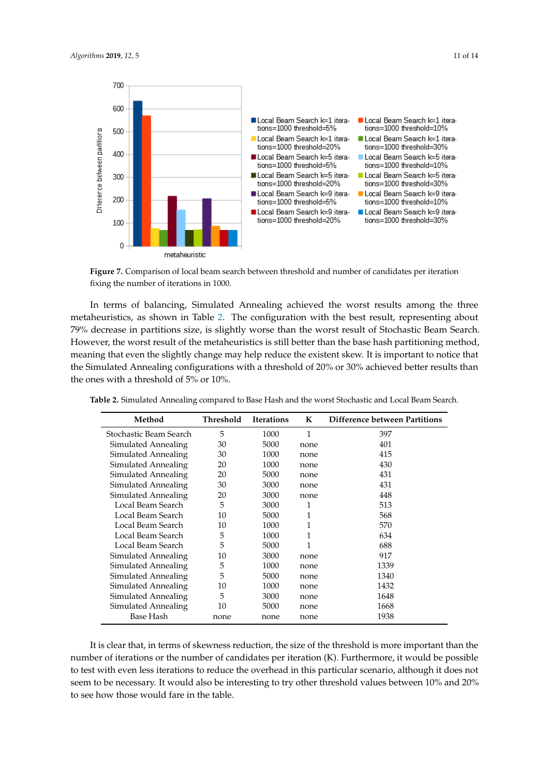<span id="page-10-0"></span>

**Figure 7.** Comparison of local beam search between threshold and number of candidates per iteration fixing the number of iterations in 1000.

In terms of balancing, Simulated Annealing achieved the worst results among the three metaheuristics, as shown in Table [2.](#page-10-1) The configuration with the best result, representing about 79% decrease in partitions size, is slightly worse than the worst result of Stochastic Beam Search. However, the worst result of the metaheuristics is still better than the base hash partitioning method, meaning that even the slightly change may help reduce the existent skew. It is important to notice that the Simulated Annealing configurations with a threshold of 20% or 30% achieved better results than the ones with a threshold of 5% or 10%.

| Method                 | Threshold | <b>Iterations</b> | K    | Difference between Partitions |
|------------------------|-----------|-------------------|------|-------------------------------|
| Stochastic Beam Search | 5         | 1000              | 1    | 397                           |
| Simulated Annealing    | 30        | 5000              | none | 401                           |
| Simulated Annealing    | 30        | 1000              | none | 415                           |
| Simulated Annealing    | 20        | 1000              | none | 430                           |
| Simulated Annealing    | 20        | 5000              | none | 431                           |
| Simulated Annealing    | 30        | 3000              | none | 431                           |
| Simulated Annealing    | 20        | 3000              | none | 448                           |
| Local Beam Search      | 5         | 3000              | 1    | 513                           |
| Local Beam Search      | 10        | 5000              | 1    | 568                           |
| Local Beam Search      | 10        | 1000              | 1    | 570                           |
| Local Beam Search      | 5         | 1000              | 1    | 634                           |
| Local Beam Search      | 5         | 5000              | 1    | 688                           |
| Simulated Annealing    | 10        | 3000              | none | 917                           |
| Simulated Annealing    | 5         | 1000              | none | 1339                          |
| Simulated Annealing    | 5         | 5000              | none | 1340                          |
| Simulated Annealing    | 10        | 1000              | none | 1432                          |
| Simulated Annealing    | 5         | 3000              | none | 1648                          |
| Simulated Annealing    | 10        | 5000              | none | 1668                          |
| Base Hash              | none      | none              | none | 1938                          |

<span id="page-10-1"></span>**Table 2.** Simulated Annealing compared to Base Hash and the worst Stochastic and Local Beam Search.

It is clear that, in terms of skewness reduction, the size of the threshold is more important than the number of iterations or the number of candidates per iteration (K). Furthermore, it would be possible to test with even less iterations to reduce the overhead in this particular scenario, although it does not seem to be necessary. It would also be interesting to try other threshold values between 10% and 20% to see how those would fare in the table.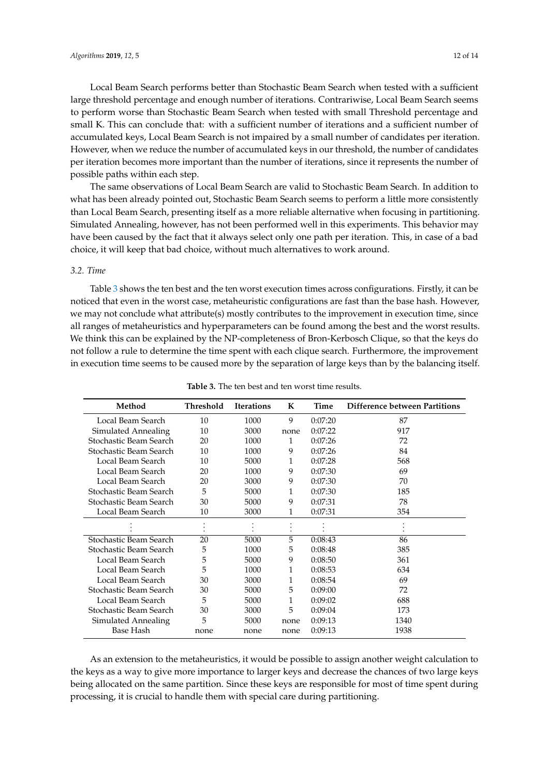Local Beam Search performs better than Stochastic Beam Search when tested with a sufficient large threshold percentage and enough number of iterations. Contrariwise, Local Beam Search seems to perform worse than Stochastic Beam Search when tested with small Threshold percentage and small K. This can conclude that: with a sufficient number of iterations and a sufficient number of accumulated keys, Local Beam Search is not impaired by a small number of candidates per iteration. However, when we reduce the number of accumulated keys in our threshold, the number of candidates per iteration becomes more important than the number of iterations, since it represents the number of possible paths within each step.

The same observations of Local Beam Search are valid to Stochastic Beam Search. In addition to what has been already pointed out, Stochastic Beam Search seems to perform a little more consistently than Local Beam Search, presenting itself as a more reliable alternative when focusing in partitioning. Simulated Annealing, however, has not been performed well in this experiments. This behavior may have been caused by the fact that it always select only one path per iteration. This, in case of a bad choice, it will keep that bad choice, without much alternatives to work around.

## <span id="page-11-1"></span>*3.2. Time*

Table [3](#page-11-0) shows the ten best and the ten worst execution times across configurations. Firstly, it can be noticed that even in the worst case, metaheuristic configurations are fast than the base hash. However, we may not conclude what attribute(s) mostly contributes to the improvement in execution time, since all ranges of metaheuristics and hyperparameters can be found among the best and the worst results. We think this can be explained by the NP-completeness of Bron-Kerbosch Clique, so that the keys do not follow a rule to determine the time spent with each clique search. Furthermore, the improvement in execution time seems to be caused more by the separation of large keys than by the balancing itself.

<span id="page-11-0"></span>

| Method                 | Threshold | <b>Iterations</b> | K    | Time    | <b>Difference between Partitions</b> |
|------------------------|-----------|-------------------|------|---------|--------------------------------------|
| Local Beam Search      | 10        | 1000              | 9    | 0:07:20 | 87                                   |
| Simulated Annealing    | 10        | 3000              | none | 0:07:22 | 917                                  |
| Stochastic Beam Search | 20        | 1000              | 1    | 0:07:26 | 72                                   |
| Stochastic Beam Search | 10        | 1000              | 9    | 0:07:26 | 84                                   |
| Local Beam Search      | 10        | 5000              | 1    | 0:07:28 | 568                                  |
| Local Beam Search      | 20        | 1000              | 9    | 0:07:30 | 69                                   |
| Local Beam Search      | 20        | 3000              | 9    | 0:07:30 | 70                                   |
| Stochastic Beam Search | 5         | 5000              | 1    | 0:07:30 | 185                                  |
| Stochastic Beam Search | 30        | 5000              | 9    | 0:07:31 | 78                                   |
| Local Beam Search      | 10        | 3000              | 1    | 0:07:31 | 354                                  |
|                        |           |                   |      |         |                                      |
| Stochastic Beam Search | 20        | 5000              | 5    | 0:08:43 | 86                                   |
| Stochastic Beam Search | 5         | 1000              | 5    | 0:08:48 | 385                                  |
| Local Beam Search      | 5         | 5000              | 9    | 0:08:50 | 361                                  |
| Local Beam Search      | 5         | 1000              | 1    | 0:08:53 | 634                                  |
| Local Beam Search      | 30        | 3000              | 1    | 0:08:54 | 69                                   |
| Stochastic Beam Search | 30        | 5000              | 5    | 0:09:00 | 72                                   |
| Local Beam Search      | 5         | 5000              | 1    | 0:09:02 | 688                                  |
| Stochastic Beam Search | 30        | 3000              | 5    | 0:09:04 | 173                                  |
| Simulated Annealing    | 5         | 5000              | none | 0:09:13 | 1340                                 |
| Base Hash              | none      | none              | none | 0:09:13 | 1938                                 |

**Table 3.** The ten best and ten worst time results.

As an extension to the metaheuristics, it would be possible to assign another weight calculation to the keys as a way to give more importance to larger keys and decrease the chances of two large keys being allocated on the same partition. Since these keys are responsible for most of time spent during processing, it is crucial to handle them with special care during partitioning.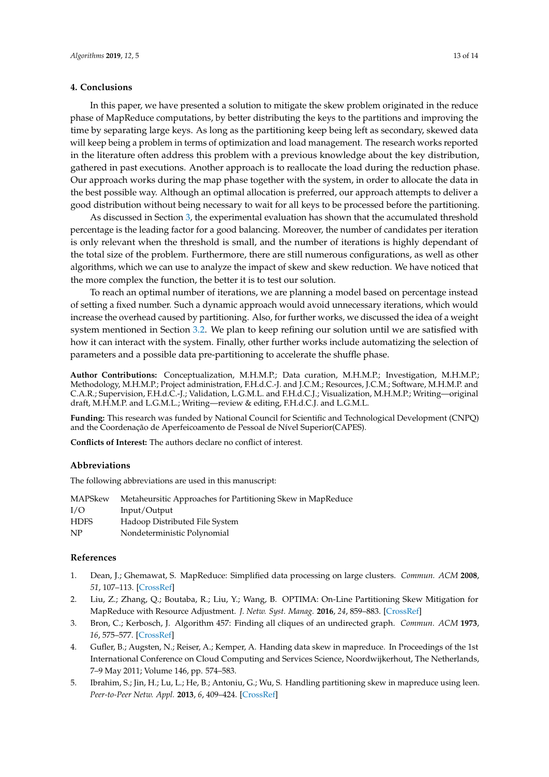## **4. Conclusions**

In this paper, we have presented a solution to mitigate the skew problem originated in the reduce phase of MapReduce computations, by better distributing the keys to the partitions and improving the time by separating large keys. As long as the partitioning keep being left as secondary, skewed data will keep being a problem in terms of optimization and load management. The research works reported in the literature often address this problem with a previous knowledge about the key distribution, gathered in past executions. Another approach is to reallocate the load during the reduction phase. Our approach works during the map phase together with the system, in order to allocate the data in the best possible way. Although an optimal allocation is preferred, our approach attempts to deliver a good distribution without being necessary to wait for all keys to be processed before the partitioning.

As discussed in Section [3,](#page-9-1) the experimental evaluation has shown that the accumulated threshold percentage is the leading factor for a good balancing. Moreover, the number of candidates per iteration is only relevant when the threshold is small, and the number of iterations is highly dependant of the total size of the problem. Furthermore, there are still numerous configurations, as well as other algorithms, which we can use to analyze the impact of skew and skew reduction. We have noticed that the more complex the function, the better it is to test our solution.

To reach an optimal number of iterations, we are planning a model based on percentage instead of setting a fixed number. Such a dynamic approach would avoid unnecessary iterations, which would increase the overhead caused by partitioning. Also, for further works, we discussed the idea of a weight system mentioned in Section [3.2.](#page-11-1) We plan to keep refining our solution until we are satisfied with how it can interact with the system. Finally, other further works include automatizing the selection of parameters and a possible data pre-partitioning to accelerate the shuffle phase.

**Author Contributions:** Conceptualization, M.H.M.P.; Data curation, M.H.M.P.; Investigation, M.H.M.P.; Methodology, M.H.M.P.; Project administration, F.H.d.C.-J. and J.C.M.; Resources, J.C.M.; Software, M.H.M.P. and C.A.R.; Supervision, F.H.d.C.-J.; Validation, L.G.M.L. and F.H.d.C.J.; Visualization, M.H.M.P.; Writing—original draft, M.H.M.P. and L.G.M.L.; Writing—review & editing, F.H.d.C.J. and L.G.M.L.

**Funding:** This research was funded by National Council for Scientific and Technological Development (CNPQ) and the Coordenação de Aperfeicoamento de Pessoal de Nível Superior(CAPES).

**Conflicts of Interest:** The authors declare no conflict of interest.

#### **Abbreviations**

The following abbreviations are used in this manuscript:

| MAPSkew     | Metaheursitic Approaches for Partitioning Skew in MapReduce |
|-------------|-------------------------------------------------------------|
| I/O         | Input/Output                                                |
| <b>HDFS</b> | Hadoop Distributed File System                              |
| NP          | Nondeterministic Polynomial                                 |
|             |                                                             |

#### **References**

- <span id="page-12-0"></span>1. Dean, J.; Ghemawat, S. MapReduce: Simplified data processing on large clusters. *Commun. ACM* **2008**, *51*, 107–113. [\[CrossRef\]](http://dx.doi.org/10.1145/1327452.1327492)
- <span id="page-12-1"></span>2. Liu, Z.; Zhang, Q.; Boutaba, R.; Liu, Y.; Wang, B. OPTIMA: On-Line Partitioning Skew Mitigation for MapReduce with Resource Adjustment. *J. Netw. Syst. Manag.* **2016**, *24*, 859–883. [\[CrossRef\]](http://dx.doi.org/10.1007/s10922-015-9362-8)
- <span id="page-12-2"></span>3. Bron, C.; Kerbosch, J. Algorithm 457: Finding all cliques of an undirected graph. *Commun. ACM* **1973**, *16*, 575–577. [\[CrossRef\]](http://dx.doi.org/10.1145/362342.362367)
- <span id="page-12-3"></span>4. Gufler, B.; Augsten, N.; Reiser, A.; Kemper, A. Handing data skew in mapreduce. In Proceedings of the 1st International Conference on Cloud Computing and Services Science, Noordwijkerhout, The Netherlands, 7–9 May 2011; Volume 146, pp. 574–583.
- <span id="page-12-4"></span>5. Ibrahim, S.; Jin, H.; Lu, L.; He, B.; Antoniu, G.; Wu, S. Handling partitioning skew in mapreduce using leen. *Peer-to-Peer Netw. Appl.* **2013**, *6*, 409–424. [\[CrossRef\]](http://dx.doi.org/10.1007/s12083-013-0213-7)